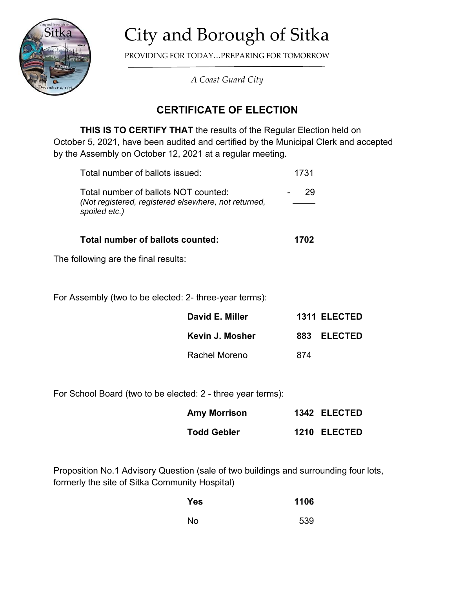

## City and Borough of Sitka

PROVIDING FOR TODAY…PREPARING FOR TOMORROW

*A Coast Guard City*

## **CERTIFICATE OF ELECTION**

**THIS IS TO CERTIFY THAT** the results of the Regular Election held on October 5, 2021, have been audited and certified by the Municipal Clerk and accepted by the Assembly on October 12, 2021 at a regular meeting.

| Total number of ballots counted:                                                                              | 1702 |
|---------------------------------------------------------------------------------------------------------------|------|
| Total number of ballots NOT counted:<br>(Not registered, registered elsewhere, not returned,<br>spoiled etc.) | 29   |
| Total number of ballots issued:                                                                               | 1731 |

The following are the final results:

For Assembly (two to be elected: 2- three-year terms):

| David E. Miller |     | 1311 ELECTED |
|-----------------|-----|--------------|
| Kevin J. Mosher |     | 883 ELECTED  |
| Rachel Moreno   | 874 |              |

For School Board (two to be elected: 2 - three year terms):

| <b>Amy Morrison</b> | 1342 ELECTED |
|---------------------|--------------|
| <b>Todd Gebler</b>  | 1210 ELECTED |

Proposition No.1 Advisory Question (sale of two buildings and surrounding four lots, formerly the site of Sitka Community Hospital)

| Yes | 1106 |
|-----|------|
| No  | 539  |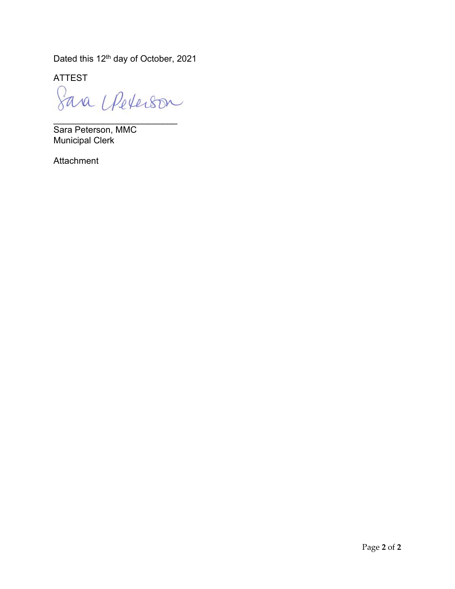Dated this 12<sup>th</sup> day of October, 2021

ATTEST

Sava Upeterson

\_\_\_\_\_\_\_\_\_\_\_\_\_\_\_\_\_\_\_\_\_\_\_\_\_

Sara Peterson, MMC Municipal Clerk

Attachment